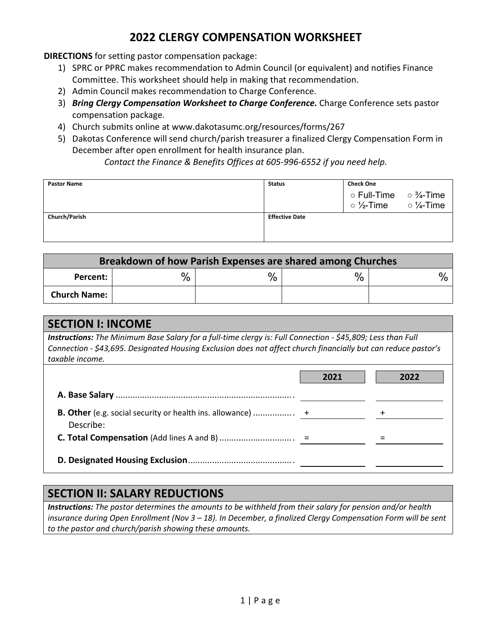### **2022 CLERGY COMPENSATION WORKSHEET**

**DIRECTIONS** for setting pastor compensation package:

- 1) SPRC or PPRC makes recommendation to Admin Council (or equivalent) and notifies Finance Committee. This worksheet should help in making that recommendation.
- 2) Admin Council makes recommendation to Charge Conference.
- 3) *Bring Clergy Compensation Worksheet to Charge Conference.* Charge Conference sets pastor compensation package.
- 4) Church submits online at www.dakotasumc.org/resources/forms/267
- 5) Dakotas Conference will send church/parish treasurer a finalized Clergy Compensation Form in December after open enrollment for health insurance plan.

*Contact the Finance & Benefits Offices at 605-996-6552 if you need help.*

| <b>Pastor Name</b>   | <b>Status</b>         | <b>Check One</b>                                                                          |  |
|----------------------|-----------------------|-------------------------------------------------------------------------------------------|--|
|                      |                       | $\circ$ Full-Time $\circ$ 3⁄4-Time<br>$\circ \frac{1}{2}$ -Time $\circ \frac{1}{4}$ -Time |  |
| <b>Church/Parish</b> | <b>Effective Date</b> |                                                                                           |  |
|                      |                       |                                                                                           |  |
|                      |                       |                                                                                           |  |

| Breakdown of how Parish Expenses are shared among Churches |   |   |      |  |  |  |
|------------------------------------------------------------|---|---|------|--|--|--|
| Percent:                                                   | % | % | $\%$ |  |  |  |
| <b>Church Name:</b>                                        |   |   |      |  |  |  |

# **SECTION I: INCOME**

*Instructions: The Minimum Base Salary for a full-time clergy is: Full Connection - \$45,809; Less than Full Connection - \$43,695. Designated Housing Exclusion does not affect church financially but can reduce pastor's taxable income.*

|           | 2021 | 2022 |
|-----------|------|------|
|           |      |      |
| Describe: |      |      |
|           |      |      |
|           |      |      |

## **SECTION II: SALARY REDUCTIONS**

*Instructions: The pastor determines the amounts to be withheld from their salary for pension and/or health insurance during Open Enrollment (Nov 3 – 18). In December, a finalized Clergy Compensation Form will be sent to the pastor and church/parish showing these amounts.*